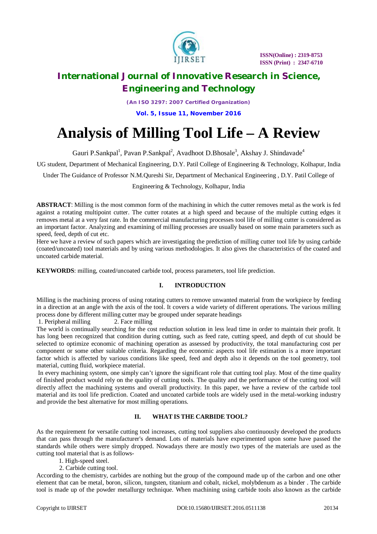

*(An ISO 3297: 2007 Certified Organization)*

**Vol. 5, Issue 11, November 2016**

# **Analysis of Milling Tool Life – A Review**

Gauri P.Sankpal<sup>1</sup>, Pavan P.Sankpal<sup>2</sup>, Avadhoot D.Bhosale<sup>3</sup>, Akshay J. Shindavade<sup>4</sup>

UG student, Department of Mechanical Engineering, D.Y. Patil College of Engineering & Technology, Kolhapur, India

Under The Guidance of Professor N.M.Qureshi Sir, Department of Mechanical Engineering , D.Y. Patil College of

### Engineering & Technology, Kolhapur, India

**ABSTRACT**: Milling is the most common form of the machining in which the cutter removes metal as the work is fed against a rotating multipoint cutter. The cutter rotates at a high speed and because of the multiple cutting edges it removes metal at a very fast rate. In the commercial manufacturing processes tool life of milling cutter is considered as an important factor. Analyzing and examining of milling processes are usually based on some main parameters such as speed, feed, depth of cut etc.

Here we have a review of such papers which are investigating the prediction of milling cutter tool life by using carbide (coated/uncoated) tool materials and by using various methodologies. It also gives the characteristics of the coated and uncoated carbide material.

**KEYWORDS**: milling, coated/uncoated carbide tool, process parameters, tool life prediction.

### **I. INTRODUCTION**

Milling is the machining process of using rotating cutters to remove unwanted material from the workpiece by feeding in a direction at an angle with the axis of the tool. It covers a wide variety of different operations. The various milling process done by different milling cutter may be grouped under separate headings

1. Peripheral milling 2. Face milling

The world is continually searching for the cost reduction solution in less lead time in order to maintain their profit. It has long been recognized that condition during cutting, such as feed rate, cutting speed, and depth of cut should be selected to optimize economic of machining operation as assessed by productivity, the total manufacturing cost per component or some other suitable criteria. Regarding the economic aspects tool life estimation is a more important factor which is affected by various conditions like speed, feed and depth also it depends on the tool geometry, tool material, cutting fluid, workpiece material.

In every machining system, one simply can't ignore the significant role that cutting tool play. Most of the time quality of finished product would rely on the quality of cutting tools. The quality and the performance of the cutting tool will directly affect the machining systems and overall productivity. In this paper, we have a review of the carbide tool material and its tool life prediction. Coated and uncoated carbide tools are widely used in the metal-working industry and provide the best alternative for most milling operations.

### **II. WHAT IS THE CARBIDE TOOL?**

As the requirement for versatile cutting tool increases, cutting tool suppliers also continuously developed the products that can pass through the manufacturer's demand. Lots of materials have experimented upon some have passed the standards while others were simply dropped. Nowadays there are mostly two types of the materials are used as the cutting tool material that is as follows-

- 1. High-speed steel.
- 2. Carbide cutting tool.

According to the chemistry, carbides are nothing but the group of the compound made up of the carbon and one other element that can be metal, boron, silicon, tungsten, titanium and cobalt, nickel, molybdenum as a binder . The carbide tool is made up of the powder metallurgy technique. When machining using carbide tools also known as the carbide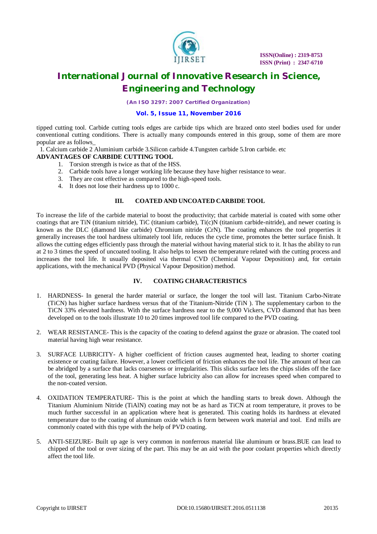

*(An ISO 3297: 2007 Certified Organization)*

#### **Vol. 5, Issue 11, November 2016**

tipped cutting tool. Carbide cutting tools edges are carbide tips which are brazed onto steel bodies used for under conventional cutting conditions. There is actually many compounds entered in this group, some of them are more popular are as follows\_

1. Calcium carbide 2 Aluminium carbide 3.Silicon carbide 4.Tungsten carbide 5.Iron carbide. etc

### **ADVANTAGES OF CARBIDE CUTTING TOOL**

- 1. Torsion strength is twice as that of the HSS.
	- 2. Carbide tools have a longer working life because they have higher resistance to wear.
	- 3. They are cost effective as compared to the high-speed tools.
	- 4. It does not lose their hardness up to 1000 c.

#### **III. COATED AND UNCOATED CARBIDE TOOL**

To increase the life of the carbide material to boost the productivity; that carbide material is coated with some other coatings that are TiN (titanium nitride), TiC (titanium carbide), Ti(c)N (titanium carbide-nitride), and newer coating is known as the DLC (diamond like carbide) Chromium nitride (CrN). The coating enhances the tool properties it generally increases the tool hardness ultimately tool life, reduces the cycle time, promotes the better surface finish. It allows the cutting edges efficiently pass through the material without having material stick to it. It has the ability to run at 2 to 3 times the speed of uncoated tooling. It also helps to lessen the temperature related with the cutting process and increases the tool life. It usually deposited via thermal CVD (Chemical Vapour Deposition) and, for certain applications, with the mechanical PVD (Physical Vapour Deposition) method.

### **IV. COATING CHARACTERISTICS**

- 1. HARDNESS- In general the harder material or surface, the longer the tool will last. Titanium Carbo-Nitrate (TiCN) has higher surface hardness versus that of the Titanium-Nitride (TiN ). The supplementary carbon to the TiCN 33% elevated hardness. With the surface hardness near to the 9,000 Vickers, CVD diamond that has been developed on to the tools illustrate 10 to 20 times improved tool life compared to the PVD coating.
- 2. WEAR RESISTANCE- This is the capacity of the coating to defend against the graze or abrasion. The coated tool material having high wear resistance.
- 3. SURFACE LUBRICITY- A higher coefficient of friction causes augmented heat, leading to shorter coating existence or coating failure. However, a lower coefficient of friction enhances the tool life. The amount of heat can be abridged by a surface that lacks coarseness or irregularities. This slicks surface lets the chips slides off the face of the tool, generating less heat. A higher surface lubricity also can allow for increases speed when compared to the non-coated version.
- 4. OXIDATION TEMPERATURE- This is the point at which the handling starts to break down. Although the Titanium Aluminium Nitride (TiAlN) coating may not be as hard as TiCN at room temperature, it proves to be much further successful in an application where heat is generated. This coating holds its hardness at elevated temperature due to the coating of aluminum oxide which is form between work material and tool. End mills are commonly coated with this type with the help of PVD coating.
- 5. ANTI-SEIZURE- Built up age is very common in nonferrous material like aluminum or brass.BUE can lead to chipped of the tool or over sizing of the part. This may be an aid with the poor coolant properties which directly affect the tool life.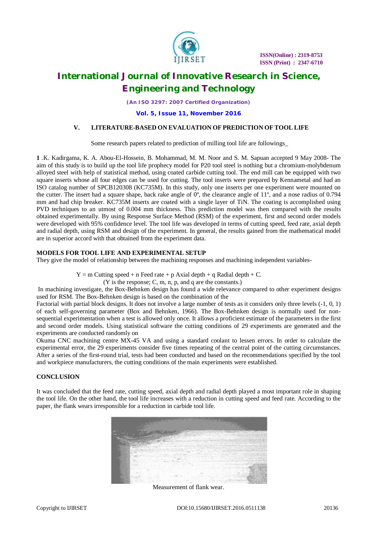

*(An ISO 3297: 2007 Certified Organization)*

**Vol. 5, Issue 11, November 2016**

### **V. LITERATURE-BASED ON EVALUATION OF PREDICTION OF TOOL LIFE**

Some research papers related to prediction of milling tool life are followings\_

**1** .K. Kadirgama, K. A. Abou-El-Hossein, B. Mohammad, M. M. Noor and S. M. Sapuan accepted 9 May 2008- The aim of this study is to build up the tool life prophecy model for P20 tool steel is nothing but a chromium-molybdenum alloyed steel with help of statistical method, using coated carbide cutting tool. The end mill can be equipped with two square inserts whose all four edges can be used for cutting. The tool inserts were prepared by Kennametal and had an ISO catalog number of SPCB120308 (KC735M). In this study, only one inserts per one experiment were mounted on the cutter. The insert had a square shape, back rake angle of  $0^\circ$ , the clearance angle of  $11^\circ$ , and a nose radius of 0.794 mm and had chip breaker. KC735M inserts are coated with a single layer of TiN. The coating is accomplished using PVD techniques to an utmost of 0.004 mm thickness. This prediction model was then compared with the results obtained experimentally. By using Response Surface Method (RSM) of the experiment, first and second order models were developed with 95% confidence level. The tool life was developed in terms of cutting speed, feed rate, axial depth and radial depth, using RSM and design of the experiment. In general, the results gained from the mathematical model are in superior accord with that obtained from the experiment data.

### **MODELS FOR TOOL LIFE AND EXPERIMENTAL SETUP**

They give the model of relationship between the machining responses and machining independent variables-

 $Y = m$  Cutting speed + n Feed rate + p Axial depth + q Radial depth + C.

(Y is the response; C, m, n, p, and q are the constants.)

In machining investigate, the Box-Behnken design has found a wide relevance compared to other experiment designs used for RSM. The Box-Behnken design is based on the combination of the

Factorial with partial block designs. It does not involve a large number of tests as it considers only three levels  $(-1, 0, 1)$ of each self-governing parameter (Box and Behnken, 1966). The Box-Behnken design is normally used for nonsequential experimentation when a test is allowed only once. It allows a proficient estimate of the parameters in the first and second order models. Using statistical software the cutting conditions of 29 experiments are generated and the experiments are conducted randomly on

Okuma CNC machining centre MX-45 VA and using a standard coolant to lessen errors. In order to calculate the experimental error, the 29 experiments consider five times repeating of the central point of the cutting circumstances. After a series of the first-round trial, tests had been conducted and based on the recommendations specified by the tool and workpiece manufacturers, the cutting conditions of the main experiments were established.

#### **CONCLUSION**

It was concluded that the feed rate, cutting speed, axial depth and radial depth played a most important role in shaping the tool life. On the other hand, the tool life increases with a reduction in cutting speed and feed rate. According to the paper, the flank wears irresponsible for a reduction in carbide tool life.



Measurement of flank wear.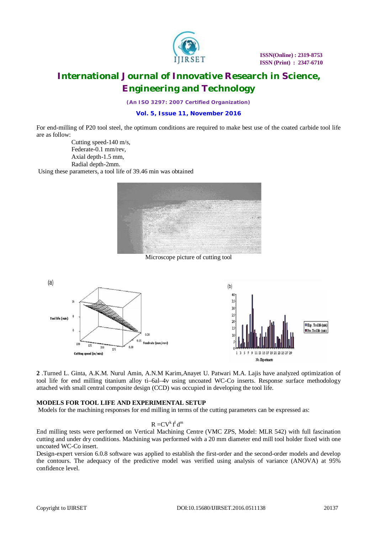

*(An ISO 3297: 2007 Certified Organization)*

**Vol. 5, Issue 11, November 2016**

For end-milling of P20 tool steel, the optimum conditions are required to make best use of the coated carbide tool life are as follow:

 Cutting speed-140 m/s, Federate-0.1 mm/rev, Axial depth-1.5 mm, Radial depth-2mm.

Using these parameters, a tool life of 39.46 min was obtained



Microscope picture of cutting tool



**2** .Turned L. Ginta, A.K.M. Nurul Amin, A.N.M Karim,Anayet U. Patwari M.A. Lajis have analyzed optimization of tool life for end milling titanium alloy ti–6al–4v using uncoated WC-Co inserts. Response surface methodology attached with small central composite design (CCD) was occupied in developing the tool life.

#### **MODELS FOR TOOL LIFE AND EXPERIMENTAL SETUP**

Models for the machining responses for end milling in terms of the cutting parameters can be expressed as:

### $R = CV<sup>k</sup> f<sup>d</sup> d<sup>m</sup>$

End milling tests were performed on Vertical Machining Centre (VMC ZPS, Model: MLR 542) with full fascination cutting and under dry conditions. Machining was performed with a 20 mm diameter end mill tool holder fixed with one uncoated WC-Co insert.

Design-expert version 6.0.8 software was applied to establish the first-order and the second-order models and develop the contours. The adequacy of the predictive model was verified using analysis of variance (ANOVA) at 95% confidence level.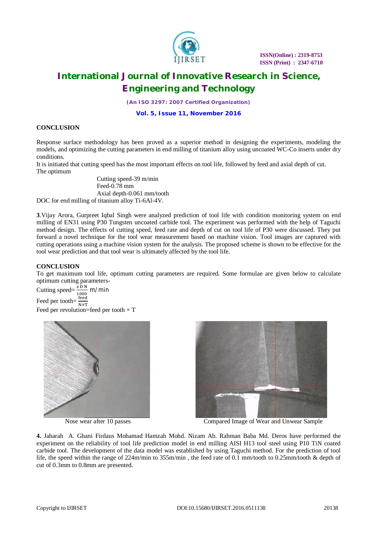

**ISSN(Online) : 2319-8753 ISSN (Print) : 2347-6710**

# **International Journal of Innovative Research in Science, Engineering and Technology**

*(An ISO 3297: 2007 Certified Organization)*

**Vol. 5, Issue 11, November 2016**

#### **CONCLUSION**

Response surface methodology has been proved as a superior method in designing the experiments, modeling the models, and optimizing the cutting parameters in end milling of titanium alloy using uncoated WC-Co inserts under dry conditions.

It is initiated that cutting speed has the most important effects on tool life, followed by feed and axial depth of cut. The optimum

 Cutting speed-39 m/min Feed-0.78 mm Axial depth-0.061 mm/tooth DOC for end milling of titanium alloy Ti-6Al-4V.

**3**.Vijay Arora, Gurpreet Iqbal Singh were analyzed prediction of tool life with condition monitoring system on end milling of EN31 using P30 Tungsten uncoated carbide tool. The experiment was performed with the help of Taguchi method design. The effects of cutting speed, feed rate and depth of cut on tool life of P30 were discussed. They put forward a novel technique for the tool wear measurement based on machine vision. Tool images are captured with cutting operations using a machine vision system for the analysis. The proposed scheme is shown to be effective for the tool wear prediction and that tool wear is ultimately affected by the tool life.

### **CONCLUSION**

To get maximum tool life, optimum cutting parameters are required. Some formulae are given below to calculate optimum cutting parameters-

Cutting speed= $\frac{\pi DN}{1000}$  m/min Feed per tooth= $\frac{\text{feed}}{\text{N} \times \text{T}}$ Feed per revolution=feed per tooth  $\times$  T





Nose wear after 10 passes Compared Image of Wear and Unwear Sample

**4.** Jaharah A. Ghani Firdaus Mohamad Hamzah Mohd. Nizam Ab. Rahman Baba Md. Deros have performed the experiment on the reliability of tool life prediction model in end milling AISI H13 tool steel using P10 TiN coated carbide tool. The development of the data model was established by using Taguchi method. For the prediction of tool life, the speed within the range of 224m/min to 355m/min , the feed rate of 0.1 mm/tooth to 0.25mm/tooth & depth of cut of 0.3mm to 0.8mm are presented.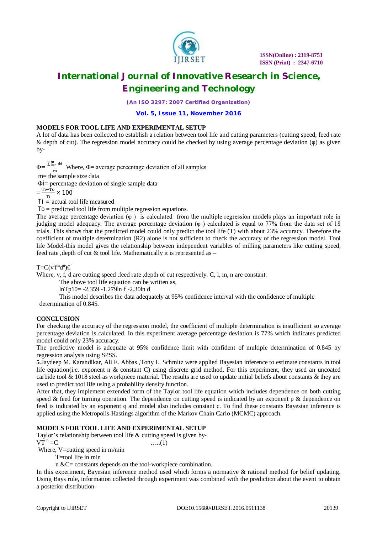

*(An ISO 3297: 2007 Certified Organization)*

**Vol. 5, Issue 11, November 2016**

#### **MODELS FOR TOOL LIFE AND EXPERIMENTAL SETUP**

A lot of data has been collected to establish a relation between tool life and cutting parameters (cutting speed, feed rate & depth of cut). The regression model accuracy could be checked by using average percentage deviation (φ) as given by-

 $\Phi = \frac{\sum_{i=1}^{m} \Phi_i}{m}$  $\frac{e^{-(\psi)}}{m}$  Where,  $\Phi$  = average percentage deviation of all samples

m= the sample size data

Φi= percentage deviation of single sample data

 $=\frac{Ti-To}{T}$  $\frac{10}{\text{Ti}} \times 100$ 

 $Ti =$  actual tool life measured

To = predicted tool life from multiple regression equations.

The average percentage deviation  $(\varphi)$  is calculated from the multiple regression models plays an important role in judging model adequacy. The average percentage deviation  $(\varphi)$  calculated is equal to 77% from the data set of 18 trials. This shows that the predicted model could only predict the tool life (T) with about 23% accuracy. Therefore the coefficient of multiple determination (R2) alone is not sufficient to check the accuracy of the regression model. Tool life Model-this model gives the relationship between independent variables of milling parameters like cutting speed, feed rate , depth of cut  $&$  tool life. Mathematically it is represented as  $-$ 

 $T=C(v^l f^m d^n) \vec{\boldsymbol{\epsilon}}$ 

Where, v, f, d are cutting speed , feed rate , depth of cut respectively. C, l, m, n are constant.

The above tool life equation can be written as,

lnTp10= -2.359 -1.279ln f -2.30ln d

This model describes the data adequately at 95% confidence interval with the confidence of multiple determination of 0.845.

### **CONCLUSION**

For checking the accuracy of the regression model, the coefficient of multiple determination is insufficient so average percentage deviation is calculated. In this experiment average percentage deviation is 77% which indicates predicted model could only 23% accuracy.

The predictive model is adequate at 95% confidence limit with confident of multiple determination of 0.845 by regression analysis using SPSS.

**5**.Jaydeep M. Karandikar, Ali E. Abbas ,Tony L. Schmitz were applied Bayesian inference to estimate constants in tool life equation(i.e. exponent n & constant C) using discrete grid method. For this experiment, they used an uncoated carbide tool  $\&$  1018 steel as workpiece material. The results are used to update initial beliefs about constants  $\&$  they are used to predict tool life using a probability density function.

After that, they implement extended form of the Taylor tool life equation which includes dependence on both cutting speed  $\&$  feed for turning operation. The dependence on cutting speed is indicated by an exponent p  $\&$  dependence on feed is indicated by an exponent q and model also includes constant c. To find these constants Bayesian inference is applied using the Metropolis-Hastings algorithm of the Markov Chain Carlo (MCMC) approach.

### **MODELS FOR TOOL LIFE AND EXPERIMENTAL SETUP**

Taylor's relationship between tool life & cutting speed is given by- $VT<sup>n</sup> = C$  $\dots(1)$ 

Where, V=cutting speed in m/min

T=tool life in min

n &C= constants depends on the tool-workpiece combination.

In this experiment, Bayesian inference method used which forms a normative & rational method for belief updating. Using Bays rule, information collected through experiment was combined with the prediction about the event to obtain a posterior distribution-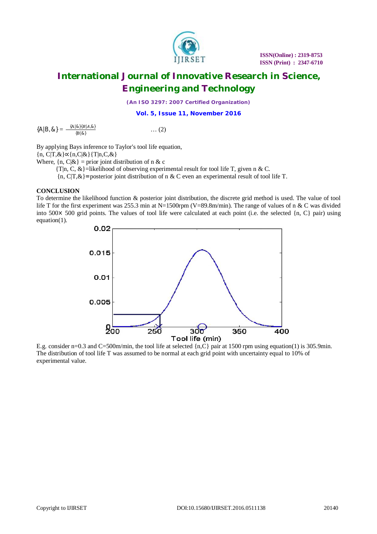

*(An ISO 3297: 2007 Certified Organization)*

**Vol. 5, Issue 11, November 2016**

 ${A|B, \&} = \frac{A|\&\} \{B|A,\&}$  … (2)

By applying Bays inference to Taylor's tool life equation, {n, C|T,&}∝{n,C|&}{T|n,C,&} Where,  $\{n, C | \&\}$  = prior joint distribution of n & c

 ${T|n, C, \&}$  = likelihood of observing experimental result for tool life T, given n & C.

 ${n, C|T, &}$  = posterior joint distribution of n & C even an experimental result of tool life T.

### **CONCLUSION**

To determine the likelihood function & posterior joint distribution, the discrete grid method is used. The value of tool life T for the first experiment was 255.3 min at N=1500rpm (V=89.8m/min). The range of values of n & C was divided into 500 $\times$  500 grid points. The values of tool life were calculated at each point (i.e. the selected {n, C} pair) using equation(1).



E.g. consider n=0.3 and C=500m/min, the tool life at selected {n,C} pair at 1500 rpm using equation(1) is 305.9min. The distribution of tool life T was assumed to be normal at each grid point with uncertainty equal to 10% of experimental value.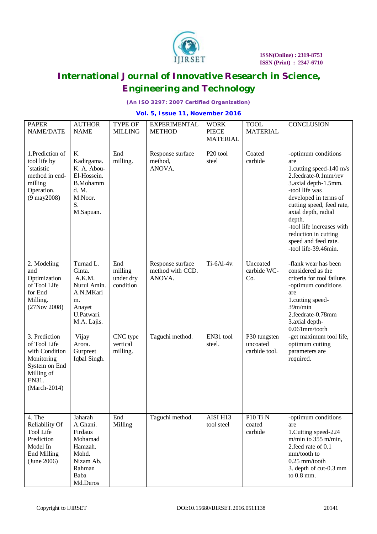

*(An ISO 3297: 2007 Certified Organization)*

**Vol. 5, Issue 11, November 2016**

| <b>PAPER</b><br><b>NAME/DATE</b>                                                                                      | <b>AUTHOR</b><br><b>NAME</b>                                                                             | <b>TYPE OF</b><br><b>MILLING</b>         | <b>EXPERIMENTAL</b><br><b>METHOD</b>           | <b>WORK</b><br><b>PIECE</b><br><b>MATERIAL</b> | <b>TOOL</b><br><b>MATERIAL</b>                        | <b>CONCLUSION</b>                                                                                                                                                                                                                                                                                                   |
|-----------------------------------------------------------------------------------------------------------------------|----------------------------------------------------------------------------------------------------------|------------------------------------------|------------------------------------------------|------------------------------------------------|-------------------------------------------------------|---------------------------------------------------------------------------------------------------------------------------------------------------------------------------------------------------------------------------------------------------------------------------------------------------------------------|
| 1.Prediction of<br>tool life by<br>`statistic<br>method in end-<br>milling<br>Operation.<br>$(9 \text{ may } 2008)$   | K.<br>Kadirgama.<br>K. A. Abou-<br>El-Hossein.<br><b>B.Mohamm</b><br>d. M.<br>M.Noor.<br>S.<br>M.Sapuan. | End<br>milling.                          | Response surface<br>method,<br>ANOVA.          | P <sub>20</sub> tool<br>steel                  | Coated<br>carbide                                     | -optimum conditions<br>are<br>1.cutting speed-140 m/s<br>2.feedrate-0.1mm/rev<br>3.axial depth-1.5mm.<br>-tool life was<br>developed in terms of<br>cutting speed, feed rate,<br>axial depth, radial<br>depth.<br>-tool life increases with<br>reduction in cutting<br>speed and feed rate.<br>-tool life-39.46min. |
| 2. Modeling<br>and<br>Optimization<br>of Tool Life<br>for End<br>Milling.<br>(27Nov 2008)                             | Turnad L.<br>Ginta.<br>A.K.M.<br>Nurul Amin.<br>A.N.MKari<br>m.<br>Anayet<br>U.Patwari.<br>M.A. Lajis.   | End<br>milling<br>under dry<br>condition | Response surface<br>method with CCD.<br>ANOVA. | Ti-6Al-4v.                                     | Uncoated<br>carbide WC-<br>Co.                        | -flank wear has been<br>considered as the<br>criteria for tool failure.<br>-optimum conditions<br>are<br>1.cutting speed-<br>39m/min<br>2.feedrate-0.78mm<br>3.axial depth-<br>$0.061$ mm/tooth                                                                                                                     |
| 3. Prediction<br>of Tool Life<br>with Condition<br>Monitoring<br>System on End<br>Milling of<br>EN31.<br>(March-2014) | Vijay<br>Arora.<br>Gurpreet<br>Iqbal Singh.                                                              | CNC type<br>vertical<br>milling.         | Taguchi method.                                | EN31 tool<br>steel.                            | P30 tungsten<br>uncoated<br>carbide tool.             | -get maximum tool life,<br>optimum cutting<br>parameters are<br>required.                                                                                                                                                                                                                                           |
| 4. The<br>Reliability Of<br>Tool Life<br>Prediction<br>Model In<br><b>End Milling</b><br>(June 2006)                  | Jaharah<br>A.Ghani.<br>Firdaus<br>Mohamad<br>Hamzah.<br>Mohd.<br>Nizam Ab.<br>Rahman<br>Baba<br>Md.Deros | End<br>Milling                           | Taguchi method.                                | AISI H13<br>tool steel                         | P <sub>10</sub> T <sub>i</sub> N<br>coated<br>carbide | -optimum conditions<br>are<br>1. Cutting speed-224<br>m/min to $355$ m/min,<br>2.feed rate of 0.1<br>mm/tooth to<br>$0.25$ mm/tooth<br>3. depth of cut-0.3 mm<br>to 0.8 mm.                                                                                                                                         |